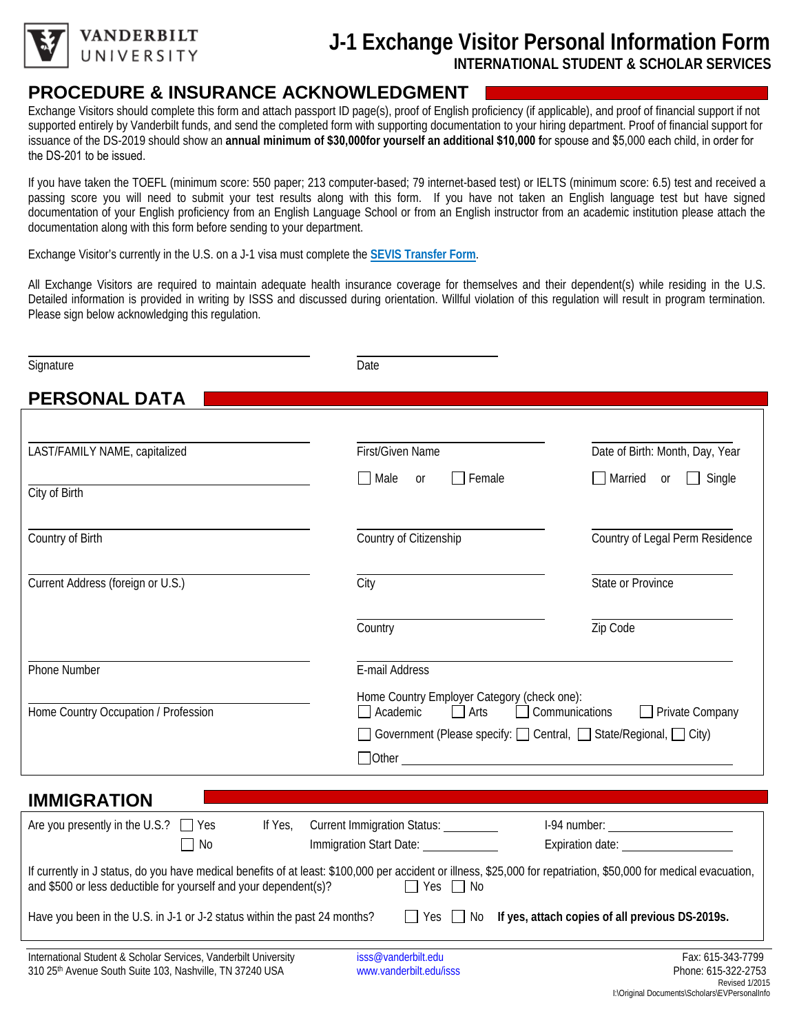

**ANDERBILT** UNIVERSITY

## **J-1 Exchange Visitor Personal Information Form INTERNATIONAL STUDENT & SCHOLAR SERVICES**

## **PROCEDURE & INSURANCE ACKNOWLEDGMENT**

Exchange Visitors should complete this form and attach passport ID page(s), proof of English proficiency (if applicable), and proof of financial support if not supported entirely by Vanderbilt funds, and send the completed form with supporting documentation to your hiring department. Proof of financial support for issuance of the DS-2019 should show an **annual minimum of \$30,000for yourself an additional \$10,000 f**or spouse and \$5,000 each child, in order for the DS-201 to be issued.

If you have taken the TOEFL (minimum score: 550 paper; 213 computer-based; 79 internet-based test) or IELTS (minimum score: 6.5) test and received a passing score you will need to submit your test results along with this form. If you have not taken an English language test but have signed documentation of your English proficiency from an English Language School or from an English instructor from an academic institution please attach the documentation along with this form before sending to your department.

Exchange Visitor's currently in the U.S. on a J-1 visa must complete the **[SEVIS Transfer Form](https://forms.vanderbilt.edu/view.php?id=320924)**.

All Exchange Visitors are required to maintain adequate health insurance coverage for themselves and their dependent(s) while residing in the U.S. Detailed information is provided in writing by ISSS and discussed during orientation. Willful violation of this regulation will result in program termination. Please sign below acknowledging this regulation.

| Signature                                                                                                                                                                                                                              | Date                                                                                                                                                                                                                                 |                                                                |  |
|----------------------------------------------------------------------------------------------------------------------------------------------------------------------------------------------------------------------------------------|--------------------------------------------------------------------------------------------------------------------------------------------------------------------------------------------------------------------------------------|----------------------------------------------------------------|--|
| <b>PERSONAL DATA</b>                                                                                                                                                                                                                   |                                                                                                                                                                                                                                      |                                                                |  |
| LAST/FAMILY NAME, capitalized                                                                                                                                                                                                          | First/Given Name<br>Male<br>$\Box$ Female<br><sub>or</sub>                                                                                                                                                                           | Date of Birth: Month, Day, Year<br>$\Box$ Single<br>Married or |  |
| City of Birth<br>Country of Birth                                                                                                                                                                                                      | Country of Citizenship                                                                                                                                                                                                               | Country of Legal Perm Residence                                |  |
| Current Address (foreign or U.S.)                                                                                                                                                                                                      | City                                                                                                                                                                                                                                 | State or Province                                              |  |
|                                                                                                                                                                                                                                        | Country                                                                                                                                                                                                                              | Zip Code                                                       |  |
| Phone Number<br>Home Country Occupation / Profession                                                                                                                                                                                   | E-mail Address<br>Home Country Employer Category (check one):<br>$\Box$ Arts<br>$\Box$ Communications<br>Academic<br>$\Box$ Private Company<br>  Government (Please specify: □ Central, □ State/Regional, □ City)                    |                                                                |  |
|                                                                                                                                                                                                                                        | <u>Dother Communications and the contract of the contract of the contract of the contract of the contract of the contract of the contract of the contract of the contract of the contract of the contract of the contract of the</u> |                                                                |  |
| <b>IMMIGRATION</b><br>Are you presently in the U.S.? $\Box$ Yes<br>If Yes,<br>No                                                                                                                                                       | Current Immigration Status:<br>Immigration Start Date: 1988<br>Expiration date: <u>contracts</u>                                                                                                                                     |                                                                |  |
| If currently in J status, do you have medical benefits of at least: \$100,000 per accident or illness, \$25,000 for repatriation, \$50,000 for medical evacuation,<br>and \$500 or less deductible for yourself and your dependent(s)? | $\Box$ Yes $\Box$ No                                                                                                                                                                                                                 |                                                                |  |
| Have you been in the U.S. in J-1 or J-2 status within the past 24 months?                                                                                                                                                              | $\Box$ Yes $\Box$ No                                                                                                                                                                                                                 | If yes, attach copies of all previous DS-2019s.                |  |
| International Student & Scholar Services, Vanderbilt University                                                                                                                                                                        | isss@vanderbilt.edu                                                                                                                                                                                                                  | Fax: 615-343-7799                                              |  |